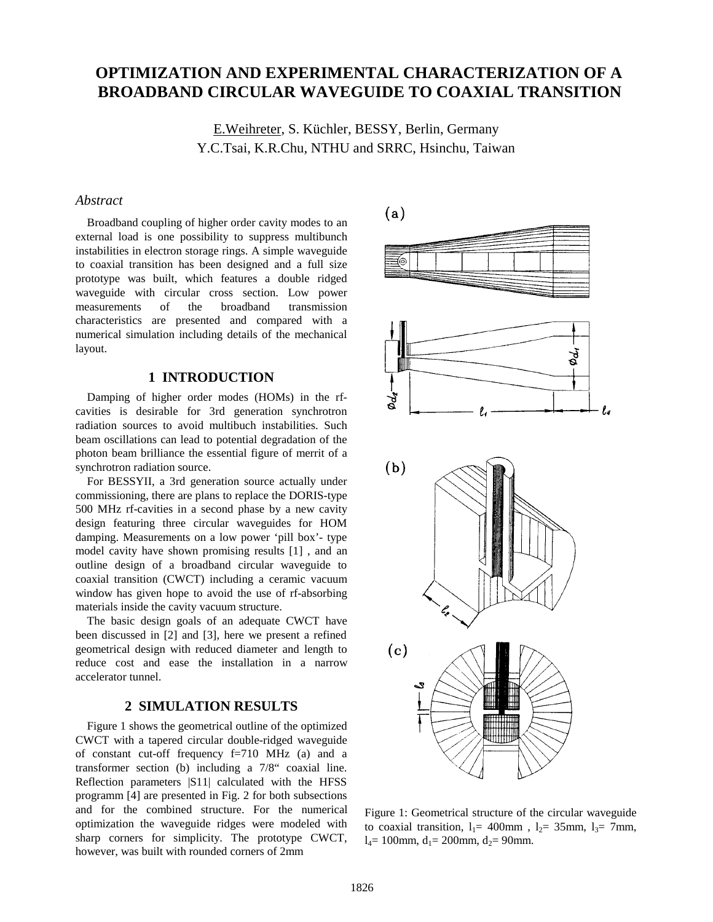# **OPTIMIZATION AND EXPERIMENTAL CHARACTERIZATION OF A BROADBAND CIRCULAR WAVEGUIDE TO COAXIAL TRANSITION**

E.Weihreter, S. Küchler, BESSY, Berlin, Germany Y.C.Tsai, K.R.Chu, NTHU and SRRC, Hsinchu, Taiwan

# *Abstract*

Broadband coupling of higher order cavity modes to an external load is one possibility to suppress multibunch instabilities in electron storage rings. A simple waveguide to coaxial transition has been designed and a full size prototype was built, which features a double ridged waveguide with circular cross section. Low power measurements of the broadband transmission characteristics are presented and compared with a numerical simulation including details of the mechanical layout.

# **1 INTRODUCTION**

Damping of higher order modes (HOMs) in the rfcavities is desirable for 3rd generation synchrotron radiation sources to avoid multibuch instabilities. Such beam oscillations can lead to potential degradation of the photon beam brilliance the essential figure of merrit of a synchrotron radiation source.

For BESSYII, a 3rd generation source actually under commissioning, there are plans to replace the DORIS-type 500 MHz rf-cavities in a second phase by a new cavity design featuring three circular waveguides for HOM damping. Measurements on a low power 'pill box'- type model cavity have shown promising results [1] , and an outline design of a broadband circular waveguide to coaxial transition (CWCT) including a ceramic vacuum window has given hope to avoid the use of rf-absorbing materials inside the cavity vacuum structure.

The basic design goals of an adequate CWCT have been discussed in [2] and [3], here we present a refined geometrical design with reduced diameter and length to reduce cost and ease the installation in a narrow accelerator tunnel.

#### **2 SIMULATION RESULTS**

Figure 1 shows the geometrical outline of the optimized CWCT with a tapered circular double-ridged waveguide of constant cut-off frequency f=710 MHz (a) and a transformer section (b) including a 7/8" coaxial line. Reflection parameters |S11| calculated with the HFSS programm [4] are presented in Fig. 2 for both subsections and for the combined structure. For the numerical optimization the waveguide ridges were modeled with sharp corners for simplicity. The prototype CWCT, however, was built with rounded corners of 2mm



Figure 1: Geometrical structure of the circular waveguide to coaxial transition,  $l_1$ = 400mm,  $l_2$ = 35mm,  $l_3$ = 7mm,  $l_4$ = 100mm,  $d_1$ = 200mm,  $d_2$ = 90mm.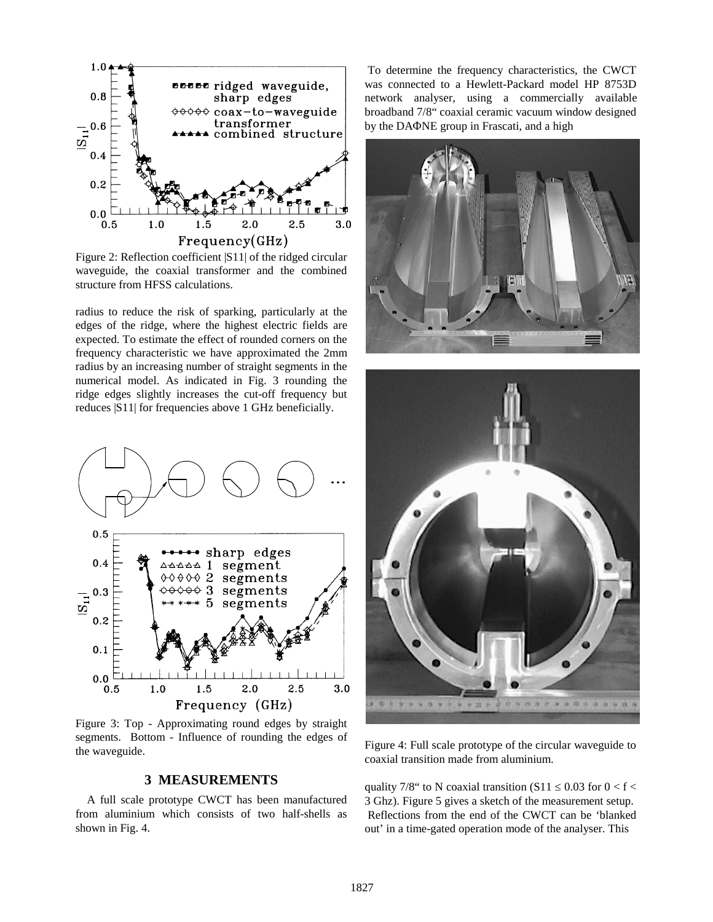

Figure 2: Reflection coefficient |S11| of the ridged circular waveguide, the coaxial transformer and the combined structure from HFSS calculations.

radius to reduce the risk of sparking, particularly at the edges of the ridge, where the highest electric fields are expected. To estimate the effect of rounded corners on the frequency characteristic we have approximated the 2mm radius by an increasing number of straight segments in the numerical model. As indicated in Fig. 3 rounding the ridge edges slightly increases the cut-off frequency but reduces |S11| for frequencies above 1 GHz beneficially.



Figure 3: Top - Approximating round edges by straight segments. Bottom - Influence of rounding the edges of the waveguide.

# **3 MEASUREMENTS**

A full scale prototype CWCT has been manufactured from aluminium which consists of two half-shells as shown in Fig. 4.

 To determine the frequency characteristics, the CWCT was connected to a Hewlett-Packard model HP 8753D network analyser, using a commercially available broadband 7/8" coaxial ceramic vacuum window designed by the  $DA\Phi NE$  group in Frascati, and a high





Figure 4: Full scale prototype of the circular waveguide to coaxial transition made from aluminium.

quality 7/8" to N coaxial transition (S11  $\leq$  0.03 for 0 < f < 3 Ghz). Figure 5 gives a sketch of the measurement setup. Reflections from the end of the CWCT can be 'blanked out' in a time-gated operation mode of the analyser. This